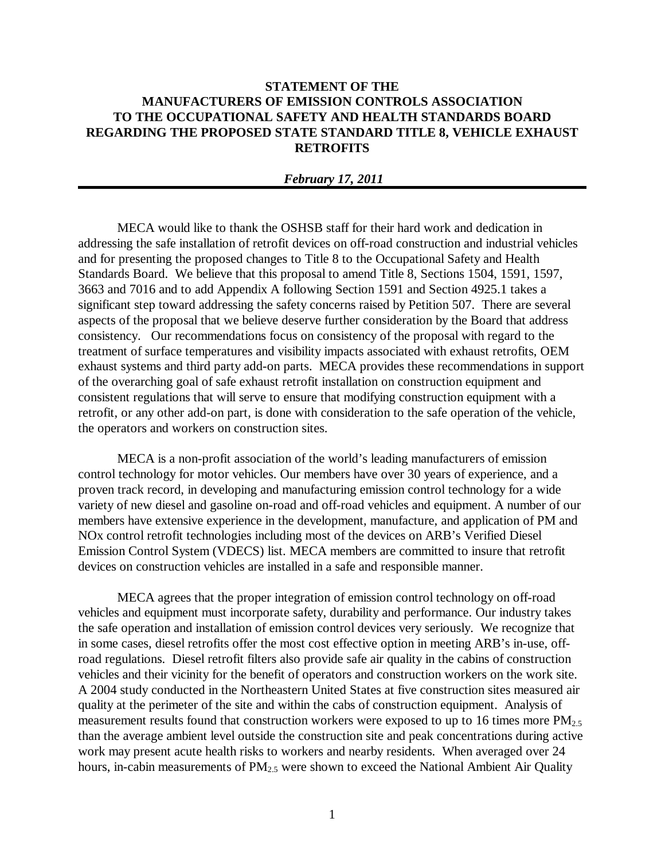## **STATEMENT OF THE MANUFACTURERS OF EMISSION CONTROLS ASSOCIATION TO THE OCCUPATIONAL SAFETY AND HEALTH STANDARDS BOARD REGARDING THE PROPOSED STATE STANDARD TITLE 8, VEHICLE EXHAUST RETROFITS**

## *February 17, 2011*

MECA would like to thank the OSHSB staff for their hard work and dedication in addressing the safe installation of retrofit devices on off-road construction and industrial vehicles and for presenting the proposed changes to Title 8 to the Occupational Safety and Health Standards Board. We believe that this proposal to amend Title 8, Sections 1504, 1591, 1597, 3663 and 7016 and to add Appendix A following Section 1591 and Section 4925.1 takes a significant step toward addressing the safety concerns raised by Petition 507. There are several aspects of the proposal that we believe deserve further consideration by the Board that address consistency. Our recommendations focus on consistency of the proposal with regard to the treatment of surface temperatures and visibility impacts associated with exhaust retrofits, OEM exhaust systems and third party add-on parts. MECA provides these recommendations in support of the overarching goal of safe exhaust retrofit installation on construction equipment and consistent regulations that will serve to ensure that modifying construction equipment with a retrofit, or any other add-on part, is done with consideration to the safe operation of the vehicle, the operators and workers on construction sites.

MECA is a non-profit association of the world's leading manufacturers of emission control technology for motor vehicles. Our members have over 30 years of experience, and a proven track record, in developing and manufacturing emission control technology for a wide variety of new diesel and gasoline on-road and off-road vehicles and equipment. A number of our members have extensive experience in the development, manufacture, and application of PM and NOx control retrofit technologies including most of the devices on ARB's Verified Diesel Emission Control System (VDECS) list. MECA members are committed to insure that retrofit devices on construction vehicles are installed in a safe and responsible manner.

MECA agrees that the proper integration of emission control technology on off-road vehicles and equipment must incorporate safety, durability and performance. Our industry takes the safe operation and installation of emission control devices very seriously. We recognize that in some cases, diesel retrofits offer the most cost effective option in meeting ARB's in-use, offroad regulations. Diesel retrofit filters also provide safe air quality in the cabins of construction vehicles and their vicinity for the benefit of operators and construction workers on the work site. A 2004 study conducted in the Northeastern United States at five construction sites measured air quality at the perimeter of the site and within the cabs of construction equipment. Analysis of measurement results found that construction workers were exposed to up to 16 times more  $PM_{2.5}$ than the average ambient level outside the construction site and peak concentrations during active work may present acute health risks to workers and nearby residents. When averaged over 24 hours, in-cabin measurements of PM<sub>2.5</sub> were shown to exceed the National Ambient Air Quality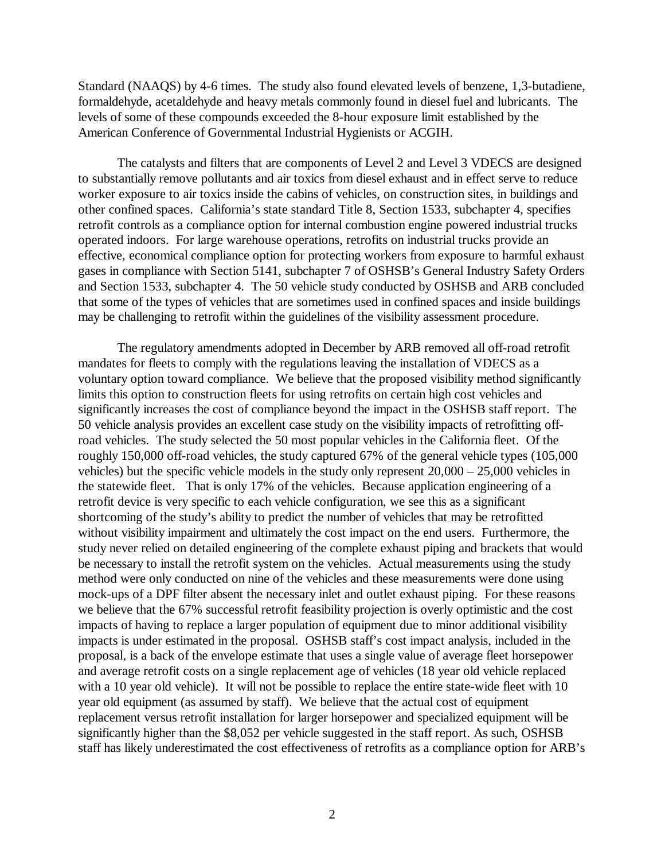Standard (NAAQS) by 4-6 times. The study also found elevated levels of benzene, 1,3-butadiene, formaldehyde, acetaldehyde and heavy metals commonly found in diesel fuel and lubricants. The levels of some of these compounds exceeded the 8-hour exposure limit established by the American Conference of Governmental Industrial Hygienists or ACGIH.

The catalysts and filters that are components of Level 2 and Level 3 VDECS are designed to substantially remove pollutants and air toxics from diesel exhaust and in effect serve to reduce worker exposure to air toxics inside the cabins of vehicles, on construction sites, in buildings and other confined spaces. California's state standard Title 8, Section 1533, subchapter 4, specifies retrofit controls as a compliance option for internal combustion engine powered industrial trucks operated indoors. For large warehouse operations, retrofits on industrial trucks provide an effective, economical compliance option for protecting workers from exposure to harmful exhaust gases in compliance with Section 5141, subchapter 7 of OSHSB's General Industry Safety Orders and Section 1533, subchapter 4. The 50 vehicle study conducted by OSHSB and ARB concluded that some of the types of vehicles that are sometimes used in confined spaces and inside buildings may be challenging to retrofit within the guidelines of the visibility assessment procedure.

The regulatory amendments adopted in December by ARB removed all off-road retrofit mandates for fleets to comply with the regulations leaving the installation of VDECS as a voluntary option toward compliance. We believe that the proposed visibility method significantly limits this option to construction fleets for using retrofits on certain high cost vehicles and significantly increases the cost of compliance beyond the impact in the OSHSB staff report. The 50 vehicle analysis provides an excellent case study on the visibility impacts of retrofitting offroad vehicles. The study selected the 50 most popular vehicles in the California fleet. Of the roughly 150,000 off-road vehicles, the study captured 67% of the general vehicle types (105,000 vehicles) but the specific vehicle models in the study only represent 20,000 – 25,000 vehicles in the statewide fleet. That is only 17% of the vehicles. Because application engineering of a retrofit device is very specific to each vehicle configuration, we see this as a significant shortcoming of the study's ability to predict the number of vehicles that may be retrofitted without visibility impairment and ultimately the cost impact on the end users. Furthermore, the study never relied on detailed engineering of the complete exhaust piping and brackets that would be necessary to install the retrofit system on the vehicles. Actual measurements using the study method were only conducted on nine of the vehicles and these measurements were done using mock-ups of a DPF filter absent the necessary inlet and outlet exhaust piping. For these reasons we believe that the 67% successful retrofit feasibility projection is overly optimistic and the cost impacts of having to replace a larger population of equipment due to minor additional visibility impacts is under estimated in the proposal. OSHSB staff's cost impact analysis, included in the proposal, is a back of the envelope estimate that uses a single value of average fleet horsepower and average retrofit costs on a single replacement age of vehicles (18 year old vehicle replaced with a 10 year old vehicle). It will not be possible to replace the entire state-wide fleet with 10 year old equipment (as assumed by staff). We believe that the actual cost of equipment replacement versus retrofit installation for larger horsepower and specialized equipment will be significantly higher than the \$8,052 per vehicle suggested in the staff report. As such, OSHSB staff has likely underestimated the cost effectiveness of retrofits as a compliance option for ARB's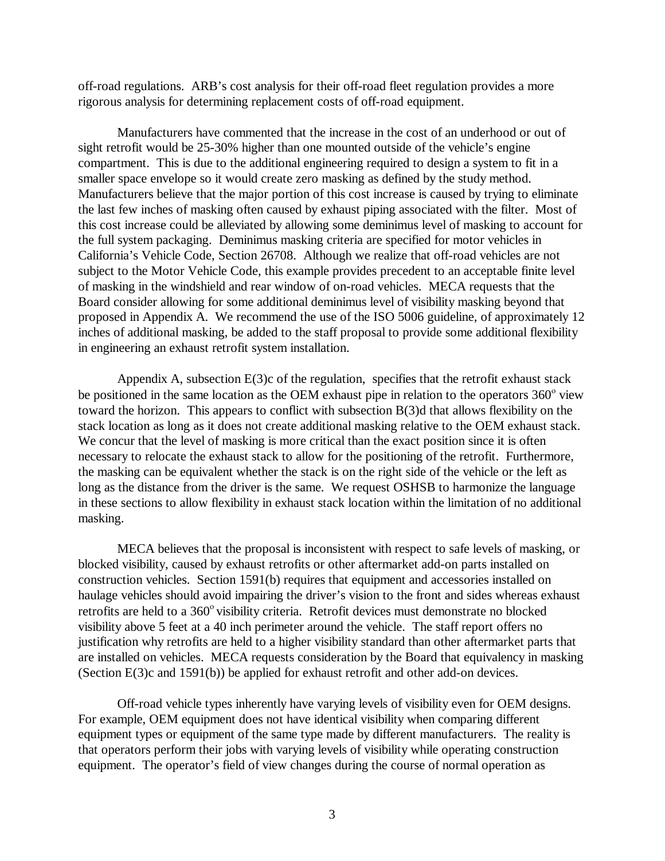off-road regulations. ARB's cost analysis for their off-road fleet regulation provides a more rigorous analysis for determining replacement costs of off-road equipment.

Manufacturers have commented that the increase in the cost of an underhood or out of sight retrofit would be 25-30% higher than one mounted outside of the vehicle's engine compartment. This is due to the additional engineering required to design a system to fit in a smaller space envelope so it would create zero masking as defined by the study method. Manufacturers believe that the major portion of this cost increase is caused by trying to eliminate the last few inches of masking often caused by exhaust piping associated with the filter. Most of this cost increase could be alleviated by allowing some deminimus level of masking to account for the full system packaging. Deminimus masking criteria are specified for motor vehicles in California's Vehicle Code, Section 26708. Although we realize that off-road vehicles are not subject to the Motor Vehicle Code, this example provides precedent to an acceptable finite level of masking in the windshield and rear window of on-road vehicles. MECA requests that the Board consider allowing for some additional deminimus level of visibility masking beyond that proposed in Appendix A. We recommend the use of the ISO 5006 guideline, of approximately 12 inches of additional masking, be added to the staff proposal to provide some additional flexibility in engineering an exhaust retrofit system installation.

Appendix A, subsection  $E(3)c$  of the regulation, specifies that the retrofit exhaust stack be positioned in the same location as the OEM exhaust pipe in relation to the operators  $360^{\circ}$  view toward the horizon. This appears to conflict with subsection B(3)d that allows flexibility on the stack location as long as it does not create additional masking relative to the OEM exhaust stack. We concur that the level of masking is more critical than the exact position since it is often necessary to relocate the exhaust stack to allow for the positioning of the retrofit. Furthermore, the masking can be equivalent whether the stack is on the right side of the vehicle or the left as long as the distance from the driver is the same. We request OSHSB to harmonize the language in these sections to allow flexibility in exhaust stack location within the limitation of no additional masking.

MECA believes that the proposal is inconsistent with respect to safe levels of masking, or blocked visibility, caused by exhaust retrofits or other aftermarket add-on parts installed on construction vehicles. Section 1591(b) requires that equipment and accessories installed on haulage vehicles should avoid impairing the driver's vision to the front and sides whereas exhaust retrofits are held to a 360<sup>°</sup> visibility criteria. Retrofit devices must demonstrate no blocked visibility above 5 feet at a 40 inch perimeter around the vehicle. The staff report offers no justification why retrofits are held to a higher visibility standard than other aftermarket parts that are installed on vehicles. MECA requests consideration by the Board that equivalency in masking (Section E(3)c and 1591(b)) be applied for exhaust retrofit and other add-on devices.

Off-road vehicle types inherently have varying levels of visibility even for OEM designs. For example, OEM equipment does not have identical visibility when comparing different equipment types or equipment of the same type made by different manufacturers. The reality is that operators perform their jobs with varying levels of visibility while operating construction equipment. The operator's field of view changes during the course of normal operation as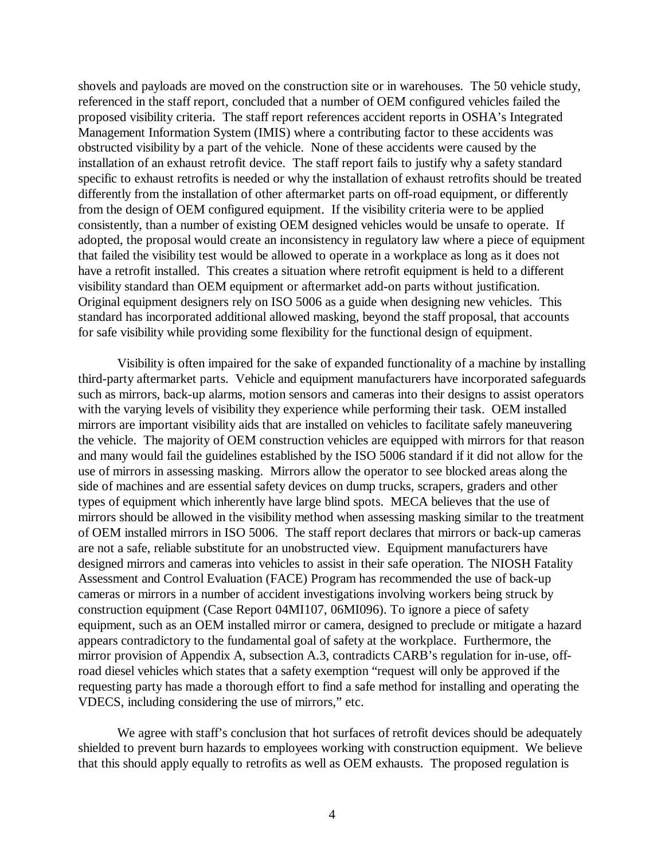shovels and payloads are moved on the construction site or in warehouses. The 50 vehicle study, referenced in the staff report, concluded that a number of OEM configured vehicles failed the proposed visibility criteria. The staff report references accident reports in OSHA's Integrated Management Information System (IMIS) where a contributing factor to these accidents was obstructed visibility by a part of the vehicle. None of these accidents were caused by the installation of an exhaust retrofit device. The staff report fails to justify why a safety standard specific to exhaust retrofits is needed or why the installation of exhaust retrofits should be treated differently from the installation of other aftermarket parts on off-road equipment, or differently from the design of OEM configured equipment. If the visibility criteria were to be applied consistently, than a number of existing OEM designed vehicles would be unsafe to operate. If adopted, the proposal would create an inconsistency in regulatory law where a piece of equipment that failed the visibility test would be allowed to operate in a workplace as long as it does not have a retrofit installed. This creates a situation where retrofit equipment is held to a different visibility standard than OEM equipment or aftermarket add-on parts without justification. Original equipment designers rely on ISO 5006 as a guide when designing new vehicles. This standard has incorporated additional allowed masking, beyond the staff proposal, that accounts for safe visibility while providing some flexibility for the functional design of equipment.

Visibility is often impaired for the sake of expanded functionality of a machine by installing third-party aftermarket parts. Vehicle and equipment manufacturers have incorporated safeguards such as mirrors, back-up alarms, motion sensors and cameras into their designs to assist operators with the varying levels of visibility they experience while performing their task. OEM installed mirrors are important visibility aids that are installed on vehicles to facilitate safely maneuvering the vehicle. The majority of OEM construction vehicles are equipped with mirrors for that reason and many would fail the guidelines established by the ISO 5006 standard if it did not allow for the use of mirrors in assessing masking. Mirrors allow the operator to see blocked areas along the side of machines and are essential safety devices on dump trucks, scrapers, graders and other types of equipment which inherently have large blind spots. MECA believes that the use of mirrors should be allowed in the visibility method when assessing masking similar to the treatment of OEM installed mirrors in ISO 5006. The staff report declares that mirrors or back-up cameras are not a safe, reliable substitute for an unobstructed view. Equipment manufacturers have designed mirrors and cameras into vehicles to assist in their safe operation. The NIOSH Fatality Assessment and Control Evaluation (FACE) Program has recommended the use of back-up cameras or mirrors in a number of accident investigations involving workers being struck by construction equipment (Case Report 04MI107, 06MI096). To ignore a piece of safety equipment, such as an OEM installed mirror or camera, designed to preclude or mitigate a hazard appears contradictory to the fundamental goal of safety at the workplace. Furthermore, the mirror provision of Appendix A, subsection A.3, contradicts CARB's regulation for in-use, offroad diesel vehicles which states that a safety exemption "request will only be approved if the requesting party has made a thorough effort to find a safe method for installing and operating the VDECS, including considering the use of mirrors," etc.

We agree with staff's conclusion that hot surfaces of retrofit devices should be adequately shielded to prevent burn hazards to employees working with construction equipment. We believe that this should apply equally to retrofits as well as OEM exhausts. The proposed regulation is